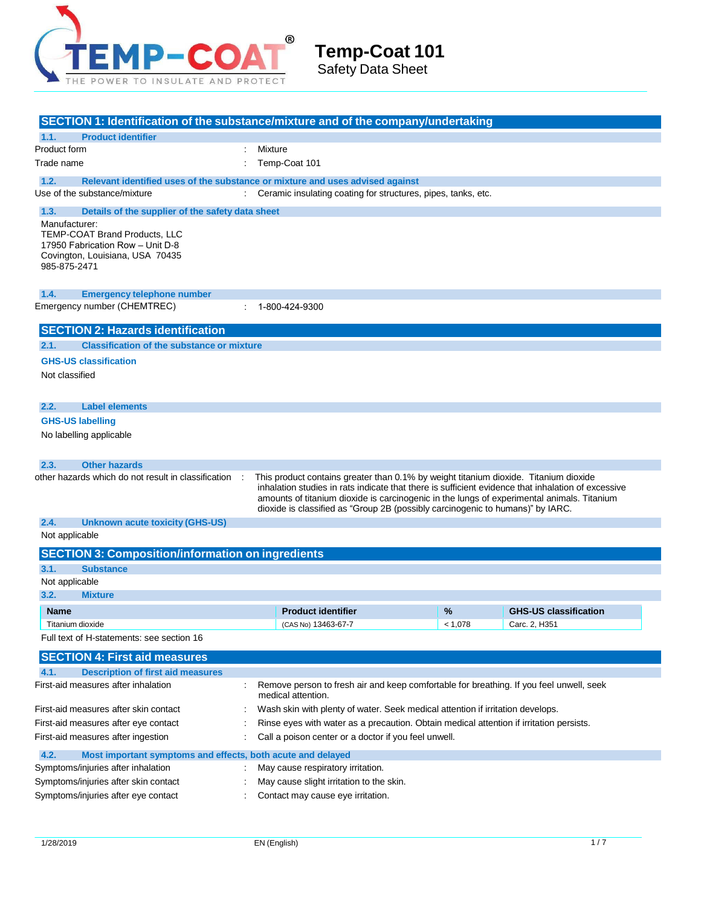

| SECTION 1: Identification of the substance/mixture and of the company/undertaking                                                                                                                        |  |                                                                                                                                                                                                                                                                                                                                                                            |         |                              |  |
|----------------------------------------------------------------------------------------------------------------------------------------------------------------------------------------------------------|--|----------------------------------------------------------------------------------------------------------------------------------------------------------------------------------------------------------------------------------------------------------------------------------------------------------------------------------------------------------------------------|---------|------------------------------|--|
| <b>Product identifier</b><br>1.1.                                                                                                                                                                        |  |                                                                                                                                                                                                                                                                                                                                                                            |         |                              |  |
| Product form                                                                                                                                                                                             |  | Mixture                                                                                                                                                                                                                                                                                                                                                                    |         |                              |  |
| Temp-Coat 101<br>Trade name                                                                                                                                                                              |  |                                                                                                                                                                                                                                                                                                                                                                            |         |                              |  |
| 1.2.                                                                                                                                                                                                     |  | Relevant identified uses of the substance or mixture and uses advised against                                                                                                                                                                                                                                                                                              |         |                              |  |
| Use of the substance/mixture                                                                                                                                                                             |  | Ceramic insulating coating for structures, pipes, tanks, etc.                                                                                                                                                                                                                                                                                                              |         |                              |  |
| 1.3.<br>Details of the supplier of the safety data sheet<br>Manufacturer:<br><b>TEMP-COAT Brand Products, LLC</b><br>17950 Fabrication Row - Unit D-8<br>Covington, Louisiana, USA 70435<br>985-875-2471 |  |                                                                                                                                                                                                                                                                                                                                                                            |         |                              |  |
| 1.4.<br><b>Emergency telephone number</b>                                                                                                                                                                |  |                                                                                                                                                                                                                                                                                                                                                                            |         |                              |  |
| Emergency number (CHEMTREC)                                                                                                                                                                              |  | 1-800-424-9300                                                                                                                                                                                                                                                                                                                                                             |         |                              |  |
| <b>SECTION 2: Hazards identification</b>                                                                                                                                                                 |  |                                                                                                                                                                                                                                                                                                                                                                            |         |                              |  |
| <b>Classification of the substance or mixture</b><br>2.1.                                                                                                                                                |  |                                                                                                                                                                                                                                                                                                                                                                            |         |                              |  |
| <b>GHS-US classification</b>                                                                                                                                                                             |  |                                                                                                                                                                                                                                                                                                                                                                            |         |                              |  |
| Not classified                                                                                                                                                                                           |  |                                                                                                                                                                                                                                                                                                                                                                            |         |                              |  |
| 2.2.<br><b>Label elements</b>                                                                                                                                                                            |  |                                                                                                                                                                                                                                                                                                                                                                            |         |                              |  |
| <b>GHS-US labelling</b>                                                                                                                                                                                  |  |                                                                                                                                                                                                                                                                                                                                                                            |         |                              |  |
| No labelling applicable                                                                                                                                                                                  |  |                                                                                                                                                                                                                                                                                                                                                                            |         |                              |  |
| <b>Other hazards</b><br>2.3.                                                                                                                                                                             |  |                                                                                                                                                                                                                                                                                                                                                                            |         |                              |  |
| other hazards which do not result in classification                                                                                                                                                      |  | This product contains greater than 0.1% by weight titanium dioxide. Titanium dioxide<br>inhalation studies in rats indicate that there is sufficient evidence that inhalation of excessive<br>amounts of titanium dioxide is carcinogenic in the lungs of experimental animals. Titanium<br>dioxide is classified as "Group 2B (possibly carcinogenic to humans)" by IARC. |         |                              |  |
| 2.4.<br><b>Unknown acute toxicity (GHS-US)</b>                                                                                                                                                           |  |                                                                                                                                                                                                                                                                                                                                                                            |         |                              |  |
| Not applicable                                                                                                                                                                                           |  |                                                                                                                                                                                                                                                                                                                                                                            |         |                              |  |
| <b>SECTION 3: Composition/information on ingredients</b>                                                                                                                                                 |  |                                                                                                                                                                                                                                                                                                                                                                            |         |                              |  |
| 3.1.<br><b>Substance</b>                                                                                                                                                                                 |  |                                                                                                                                                                                                                                                                                                                                                                            |         |                              |  |
| Not applicable                                                                                                                                                                                           |  |                                                                                                                                                                                                                                                                                                                                                                            |         |                              |  |
| 3.2.<br><b>Mixture</b>                                                                                                                                                                                   |  |                                                                                                                                                                                                                                                                                                                                                                            |         |                              |  |
| <b>Name</b>                                                                                                                                                                                              |  | <b>Product identifier</b>                                                                                                                                                                                                                                                                                                                                                  | %       | <b>GHS-US classification</b> |  |
| Titanium dioxide<br>Full text of H-statements: see section 16                                                                                                                                            |  | (CAS No) 13463-67-7                                                                                                                                                                                                                                                                                                                                                        | < 1,078 | Carc. 2, H351                |  |
|                                                                                                                                                                                                          |  |                                                                                                                                                                                                                                                                                                                                                                            |         |                              |  |
| <b>SECTION 4: First aid measures</b>                                                                                                                                                                     |  |                                                                                                                                                                                                                                                                                                                                                                            |         |                              |  |
| 4.1.<br><b>Description of first aid measures</b><br>First-aid measures after inhalation                                                                                                                  |  | Remove person to fresh air and keep comfortable for breathing. If you feel unwell, seek<br>medical attention.                                                                                                                                                                                                                                                              |         |                              |  |
| First-aid measures after skin contact                                                                                                                                                                    |  | Wash skin with plenty of water. Seek medical attention if irritation develops.                                                                                                                                                                                                                                                                                             |         |                              |  |
| First-aid measures after eye contact<br>Rinse eyes with water as a precaution. Obtain medical attention if irritation persists.                                                                          |  |                                                                                                                                                                                                                                                                                                                                                                            |         |                              |  |
| Call a poison center or a doctor if you feel unwell.<br>First-aid measures after ingestion                                                                                                               |  |                                                                                                                                                                                                                                                                                                                                                                            |         |                              |  |
| 4.2.<br>Most important symptoms and effects, both acute and delayed                                                                                                                                      |  |                                                                                                                                                                                                                                                                                                                                                                            |         |                              |  |
| Symptoms/injuries after inhalation                                                                                                                                                                       |  | May cause respiratory irritation.                                                                                                                                                                                                                                                                                                                                          |         |                              |  |
| Symptoms/injuries after skin contact                                                                                                                                                                     |  | May cause slight irritation to the skin.                                                                                                                                                                                                                                                                                                                                   |         |                              |  |
| Symptoms/injuries after eye contact                                                                                                                                                                      |  | Contact may cause eye irritation.                                                                                                                                                                                                                                                                                                                                          |         |                              |  |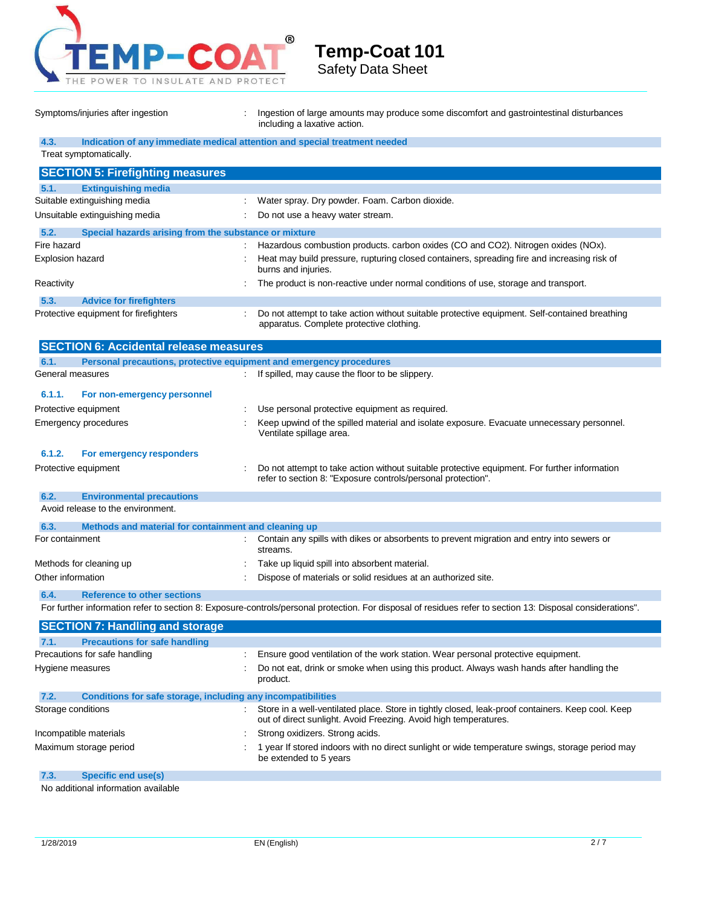

Symptoms/injuries after ingestion : Ingestion of large amounts may produce some discomfort and gastrointestinal disturbances including a laxative action.

| 4.3.               | Indication of any immediate medical attention and special treatment needed |                                                                                                                                                                       |
|--------------------|----------------------------------------------------------------------------|-----------------------------------------------------------------------------------------------------------------------------------------------------------------------|
|                    | Treat symptomatically.                                                     |                                                                                                                                                                       |
|                    | <b>SECTION 5: Firefighting measures</b>                                    |                                                                                                                                                                       |
| 5.1.               | <b>Extinguishing media</b>                                                 |                                                                                                                                                                       |
|                    | Suitable extinguishing media                                               | Water spray. Dry powder. Foam. Carbon dioxide.                                                                                                                        |
|                    | Unsuitable extinguishing media                                             | Do not use a heavy water stream.                                                                                                                                      |
| 5.2.               | Special hazards arising from the substance or mixture                      |                                                                                                                                                                       |
| Fire hazard        |                                                                            | Hazardous combustion products. carbon oxides (CO and CO2). Nitrogen oxides (NOx).                                                                                     |
| Explosion hazard   |                                                                            | Heat may build pressure, rupturing closed containers, spreading fire and increasing risk of<br>burns and injuries.                                                    |
| Reactivity         |                                                                            | The product is non-reactive under normal conditions of use, storage and transport.                                                                                    |
| 5.3.               | <b>Advice for firefighters</b>                                             |                                                                                                                                                                       |
|                    | Protective equipment for firefighters                                      | Do not attempt to take action without suitable protective equipment. Self-contained breathing<br>apparatus. Complete protective clothing.                             |
|                    | <b>SECTION 6: Accidental release measures</b>                              |                                                                                                                                                                       |
| 6.1.               | Personal precautions, protective equipment and emergency procedures        |                                                                                                                                                                       |
| General measures   |                                                                            | If spilled, may cause the floor to be slippery.                                                                                                                       |
| 6.1.1.             | For non-emergency personnel                                                |                                                                                                                                                                       |
|                    | Protective equipment                                                       | Use personal protective equipment as required.                                                                                                                        |
|                    | Emergency procedures                                                       | Keep upwind of the spilled material and isolate exposure. Evacuate unnecessary personnel.<br>Ventilate spillage area.                                                 |
| 6.1.2.             | For emergency responders                                                   |                                                                                                                                                                       |
|                    | Protective equipment                                                       | Do not attempt to take action without suitable protective equipment. For further information<br>refer to section 8: "Exposure controls/personal protection".          |
| 6.2.               | <b>Environmental precautions</b>                                           |                                                                                                                                                                       |
|                    | Avoid release to the environment.                                          |                                                                                                                                                                       |
| 6.3.               | Methods and material for containment and cleaning up                       |                                                                                                                                                                       |
| For containment    |                                                                            | Contain any spills with dikes or absorbents to prevent migration and entry into sewers or<br>streams.                                                                 |
|                    | Methods for cleaning up                                                    | Take up liquid spill into absorbent material.                                                                                                                         |
| Other information  |                                                                            | Dispose of materials or solid residues at an authorized site.                                                                                                         |
| 6.4.               | <b>Reference to other sections</b>                                         |                                                                                                                                                                       |
|                    |                                                                            | For further information refer to section 8: Exposure-controls/personal protection. For disposal of residues refer to section 13: Disposal considerations".            |
|                    | <b>SECTION 7: Handling and storage</b>                                     |                                                                                                                                                                       |
| 7.1.               | <b>Precautions for safe handling</b>                                       |                                                                                                                                                                       |
|                    | Precautions for safe handling                                              | Ensure good ventilation of the work station. Wear personal protective equipment.                                                                                      |
| Hygiene measures   |                                                                            | Do not eat, drink or smoke when using this product. Always wash hands after handling the<br>product.                                                                  |
| 7.2.               | Conditions for safe storage, including any incompatibilities               |                                                                                                                                                                       |
| Storage conditions |                                                                            | Store in a well-ventilated place. Store in tightly closed, leak-proof containers. Keep cool. Keep<br>out of direct sunlight. Avoid Freezing. Avoid high temperatures. |
|                    | Incompatible materials                                                     | Strong oxidizers. Strong acids.                                                                                                                                       |

Maximum storage period  $\cdot$  1 year If stored indoors with no direct sunlight or wide temperature swings, storage period may be extended to 5 years

**7.3. Specific end use(s)**

No additional information available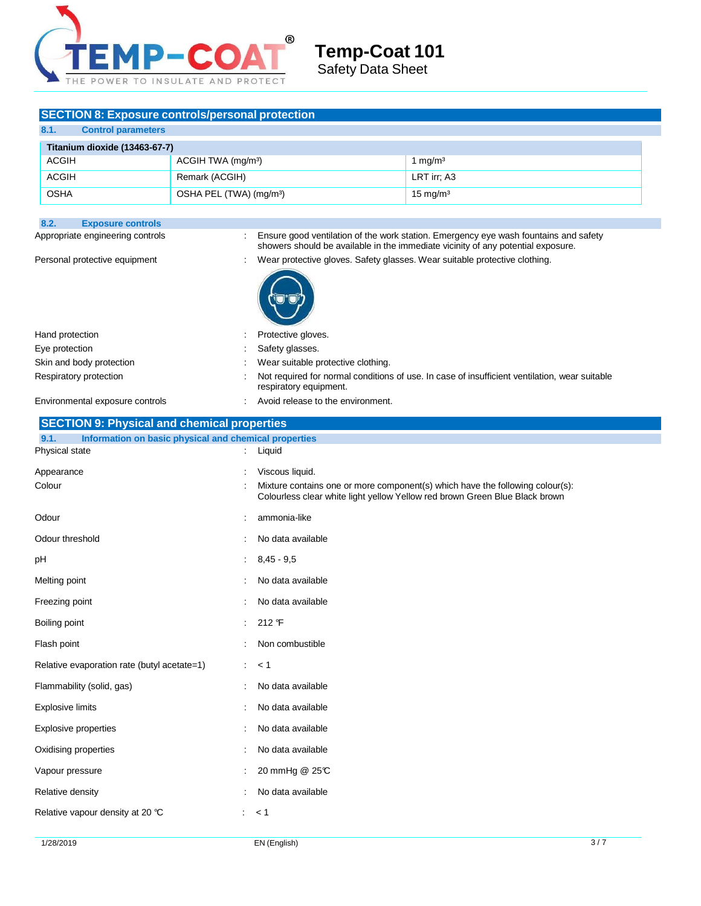

## **SECTION 8: Exposure controls/personal protection**

| 8.1.         | <b>Control parameters</b>     |                                     |                     |
|--------------|-------------------------------|-------------------------------------|---------------------|
|              | Titanium dioxide (13463-67-7) |                                     |                     |
| ACGIH        |                               | ACGIH TWA (mg/m <sup>3</sup> )      | 1 mg/m <sup>3</sup> |
| <b>ACGIH</b> |                               | Remark (ACGIH)                      | LRT irr; A3         |
| <b>OSHA</b>  |                               | OSHA PEL (TWA) (mg/m <sup>3</sup> ) | $15 \text{ mg/m}^3$ |

| Appropriate engineering controls                              | ÷  | Ensure good ventilation of the work station. Emergency eye wash fountains and safety<br>showers should be available in the immediate vicinity of any potential exposure.<br>Wear protective gloves. Safety glasses. Wear suitable protective clothing. |
|---------------------------------------------------------------|----|--------------------------------------------------------------------------------------------------------------------------------------------------------------------------------------------------------------------------------------------------------|
| Personal protective equipment                                 |    |                                                                                                                                                                                                                                                        |
|                                                               |    |                                                                                                                                                                                                                                                        |
|                                                               |    |                                                                                                                                                                                                                                                        |
| Hand protection                                               |    | Protective gloves.                                                                                                                                                                                                                                     |
| Eye protection                                                |    | Safety glasses.                                                                                                                                                                                                                                        |
| Skin and body protection                                      |    | Wear suitable protective clothing.                                                                                                                                                                                                                     |
| Respiratory protection                                        |    | Not required for normal conditions of use. In case of insufficient ventilation, wear suitable<br>respiratory equipment.                                                                                                                                |
| Environmental exposure controls                               |    | Avoid release to the environment.                                                                                                                                                                                                                      |
| <b>SECTION 9: Physical and chemical properties</b>            |    |                                                                                                                                                                                                                                                        |
| 9.1.<br>Information on basic physical and chemical properties |    |                                                                                                                                                                                                                                                        |
| Physical state                                                |    | Liquid                                                                                                                                                                                                                                                 |
| Appearance                                                    |    | Viscous liquid.                                                                                                                                                                                                                                        |
| Colour                                                        |    | Mixture contains one or more component(s) which have the following colour(s):<br>Colourless clear white light yellow Yellow red brown Green Blue Black brown                                                                                           |
| Odour                                                         |    | ammonia-like                                                                                                                                                                                                                                           |
| Odour threshold                                               |    | No data available                                                                                                                                                                                                                                      |
| рH                                                            |    | $8,45 - 9,5$                                                                                                                                                                                                                                           |
| Melting point                                                 |    | No data available                                                                                                                                                                                                                                      |
| Freezing point                                                |    | No data available                                                                                                                                                                                                                                      |
| Boiling point                                                 |    | 212 F                                                                                                                                                                                                                                                  |
| Flash point                                                   |    | Non combustible                                                                                                                                                                                                                                        |
| Relative evaporation rate (butyl acetate=1)                   |    | < 1                                                                                                                                                                                                                                                    |
| Flammability (solid, gas)                                     |    | No data available                                                                                                                                                                                                                                      |
| <b>Explosive limits</b>                                       |    | No data available                                                                                                                                                                                                                                      |
| Explosive properties                                          |    | No data available                                                                                                                                                                                                                                      |
| Oxidising properties                                          |    | No data available                                                                                                                                                                                                                                      |
| Vapour pressure                                               |    | 20 mmHg @ 25°C                                                                                                                                                                                                                                         |
| Relative density                                              |    | No data available                                                                                                                                                                                                                                      |
| Relative vapour density at 20 °C                              | ÷. | $< 1$                                                                                                                                                                                                                                                  |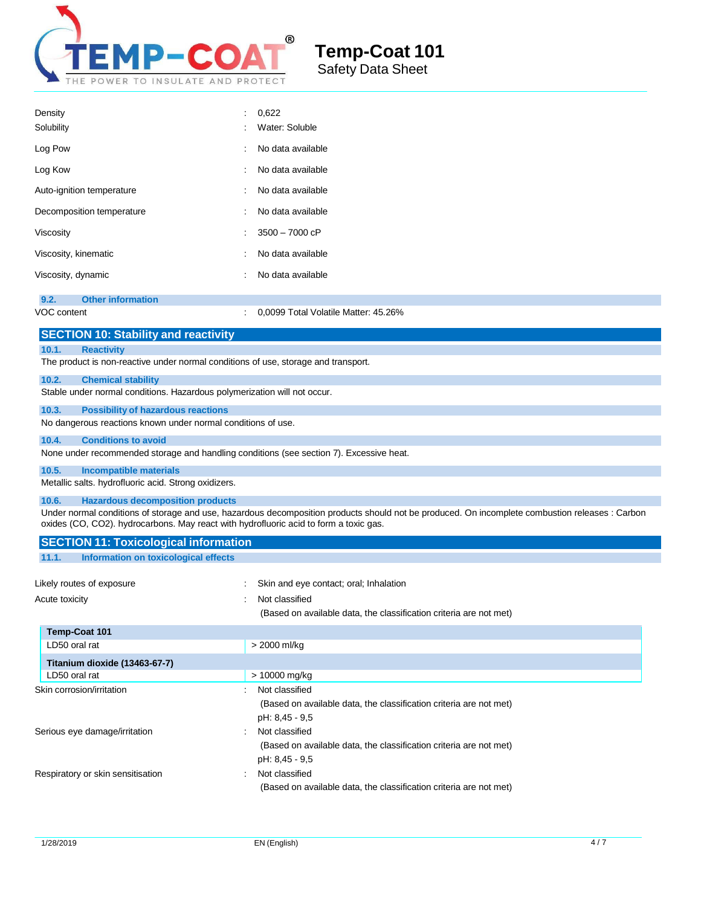

| Density<br>Solubility                                                                                                                     | 0,622<br>Water: Soluble                                                                                                                         |
|-------------------------------------------------------------------------------------------------------------------------------------------|-------------------------------------------------------------------------------------------------------------------------------------------------|
| Log Pow                                                                                                                                   | No data available                                                                                                                               |
| Log Kow                                                                                                                                   | No data available                                                                                                                               |
| Auto-ignition temperature                                                                                                                 | No data available                                                                                                                               |
| Decomposition temperature                                                                                                                 | No data available                                                                                                                               |
| Viscositv                                                                                                                                 | 3500 - 7000 cP                                                                                                                                  |
| Viscosity, kinematic                                                                                                                      | No data available                                                                                                                               |
| Viscosity, dynamic                                                                                                                        | No data available                                                                                                                               |
| 9.2.<br><b>Other information</b><br>VOC content                                                                                           | 0,0099 Total Volatile Matter: 45.26%                                                                                                            |
| <b>SECTION 10: Stability and reactivity</b>                                                                                               |                                                                                                                                                 |
| 10.1.<br><b>Reactivity</b><br>The product is non-reactive under normal conditions of use, storage and transport.                          |                                                                                                                                                 |
| 10.2.<br><b>Chemical stability</b>                                                                                                        |                                                                                                                                                 |
| Stable under normal conditions. Hazardous polymerization will not occur.                                                                  |                                                                                                                                                 |
| 10.3.<br><b>Possibility of hazardous reactions</b><br>No dangerous reactions known under normal conditions of use.                        |                                                                                                                                                 |
| 10.4.<br><b>Conditions to avoid</b>                                                                                                       |                                                                                                                                                 |
| None under recommended storage and handling conditions (see section 7). Excessive heat.                                                   |                                                                                                                                                 |
| 10.5.<br><b>Incompatible materials</b>                                                                                                    |                                                                                                                                                 |
| Metallic salts. hydrofluoric acid. Strong oxidizers.                                                                                      |                                                                                                                                                 |
| <b>Hazardous decomposition products</b><br>10.6.<br>oxides (CO, CO2). hydrocarbons. May react with hydrofluoric acid to form a toxic gas. | Under normal conditions of storage and use, hazardous decomposition products should not be produced. On incomplete combustion releases : Carbon |
| <b>SECTION 11: Toxicological information</b>                                                                                              |                                                                                                                                                 |
| 11.1.<br>Information on toxicological effects                                                                                             |                                                                                                                                                 |
| Likely routes of exposure                                                                                                                 | Skin and eye contact; oral; Inhalation                                                                                                          |
| Acute toxicity                                                                                                                            | Not classified                                                                                                                                  |
|                                                                                                                                           | (Based on available data, the classification criteria are not met)                                                                              |
| Temp-Coat 101                                                                                                                             |                                                                                                                                                 |
| LD50 oral rat                                                                                                                             | > 2000 ml/kg                                                                                                                                    |
| Titanium dioxide (13463-67-7)                                                                                                             |                                                                                                                                                 |
| LD50 oral rat<br>Skin corrosion/irritation                                                                                                | > 10000 mg/kg<br>Not classified                                                                                                                 |
|                                                                                                                                           | (Based on available data, the classification criteria are not met)<br>pH: 8,45 - 9,5                                                            |

Serious eye damage/irritation : Not classified

Respiratory or skin sensitisation : Not classified

(Based on available data, the classification criteria are not met)

(Based on available data, the classification criteria are not met)

pH: 8,45 - 9,5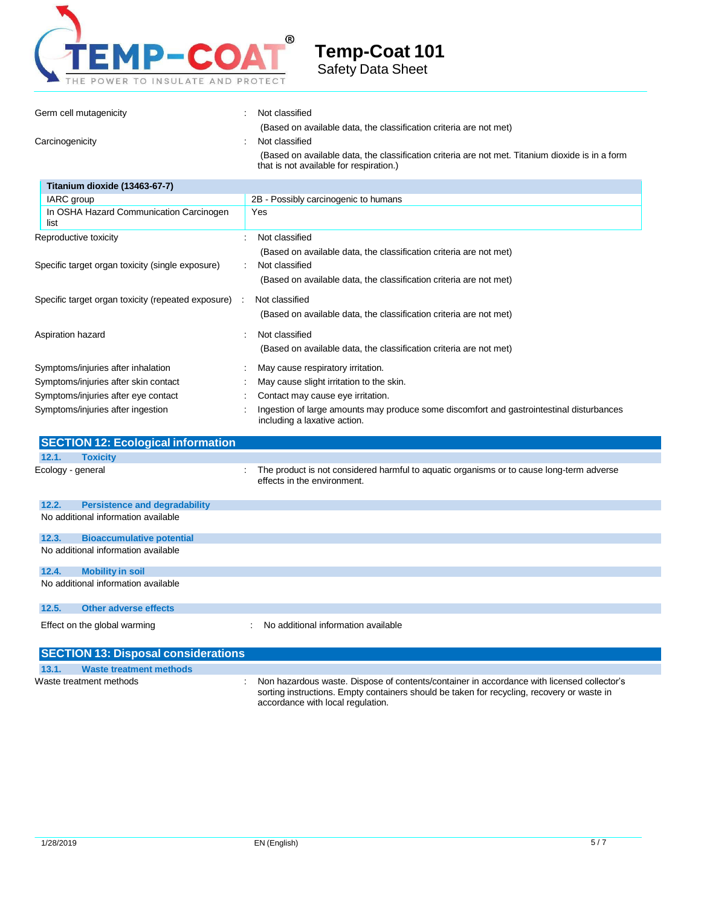

| Germ cell mutagenicity                             | Not classified                                                                                                                                                                                                                      |
|----------------------------------------------------|-------------------------------------------------------------------------------------------------------------------------------------------------------------------------------------------------------------------------------------|
| Carcinogenicity                                    | (Based on available data, the classification criteria are not met)<br>Not classified<br>(Based on available data, the classification criteria are not met. Titanium dioxide is in a form<br>that is not available for respiration.) |
| Titanium dioxide (13463-67-7)                      |                                                                                                                                                                                                                                     |
| IARC group                                         | 2B - Possibly carcinogenic to humans                                                                                                                                                                                                |
| In OSHA Hazard Communication Carcinogen<br>list    | Yes                                                                                                                                                                                                                                 |
| Reproductive toxicity                              | Not classified<br>$\overline{1}$                                                                                                                                                                                                    |
|                                                    | (Based on available data, the classification criteria are not met)                                                                                                                                                                  |
| Specific target organ toxicity (single exposure)   | Not classified<br>(Based on available data, the classification criteria are not met)                                                                                                                                                |
| Specific target organ toxicity (repeated exposure) | Not classified<br>÷                                                                                                                                                                                                                 |
|                                                    | (Based on available data, the classification criteria are not met)                                                                                                                                                                  |
|                                                    |                                                                                                                                                                                                                                     |
| Aspiration hazard                                  | Not classified                                                                                                                                                                                                                      |
|                                                    | (Based on available data, the classification criteria are not met)                                                                                                                                                                  |
| Symptoms/injuries after inhalation                 | May cause respiratory irritation.                                                                                                                                                                                                   |
| Symptoms/injuries after skin contact               | May cause slight irritation to the skin.                                                                                                                                                                                            |
| Symptoms/injuries after eye contact                | Contact may cause eye irritation.                                                                                                                                                                                                   |
| Symptoms/injuries after ingestion                  | Ingestion of large amounts may produce some discomfort and gastrointestinal disturbances<br>including a laxative action.                                                                                                            |
| <b>SECTION 12: Ecological information</b>          |                                                                                                                                                                                                                                     |
| 12.1.<br><b>Toxicity</b>                           |                                                                                                                                                                                                                                     |
| Ecology - general                                  | The product is not considered harmful to aquatic organisms or to cause long-term adverse<br>÷<br>effects in the environment.                                                                                                        |
| 12.2.<br><b>Persistence and degradability</b>      |                                                                                                                                                                                                                                     |
| No additional information available                |                                                                                                                                                                                                                                     |
| 12.3.<br><b>Bioaccumulative potential</b>          |                                                                                                                                                                                                                                     |
| No additional information available                |                                                                                                                                                                                                                                     |
| 12.4.<br><b>Mobility in soil</b>                   |                                                                                                                                                                                                                                     |
| No additional information available                |                                                                                                                                                                                                                                     |
| 12.5.<br><b>Other adverse effects</b>              |                                                                                                                                                                                                                                     |
| Effect on the global warming                       | No additional information available                                                                                                                                                                                                 |
| <b>SECTION 13: Disposal considerations</b>         |                                                                                                                                                                                                                                     |
| <b>Waste treatment methods</b><br>13.1.            |                                                                                                                                                                                                                                     |
| Waste treatment methods                            | Non hazardous waste. Dispose of contents/container in accordance with licensed collector's<br>sorting instructions. Empty containers should be taken for recycling, recovery or waste in                                            |

accordance with local regulation.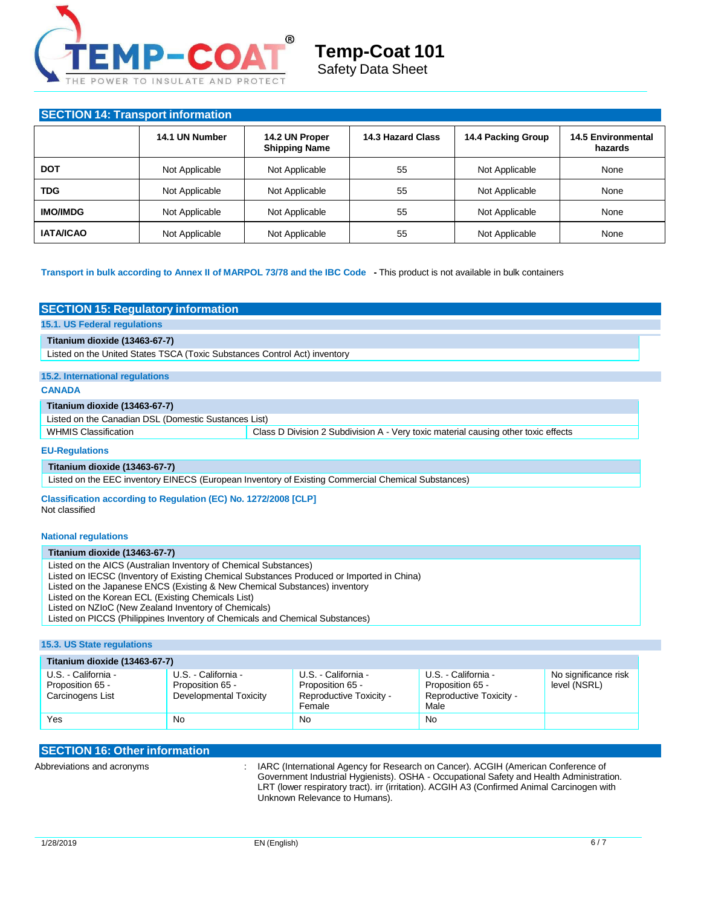

### **SECTION 14: Transport information**

|                  | 14.1 UN Number | 14.2 UN Proper<br><b>Shipping Name</b> | 14.3 Hazard Class | 14.4 Packing Group | <b>14.5 Environmental</b><br>hazards |  |
|------------------|----------------|----------------------------------------|-------------------|--------------------|--------------------------------------|--|
| <b>DOT</b>       | Not Applicable | Not Applicable                         | 55                | Not Applicable     | None                                 |  |
| TDG              | Not Applicable | Not Applicable                         | 55                | Not Applicable     | None                                 |  |
| <b>IMO/IMDG</b>  | Not Applicable | Not Applicable                         | 55                | Not Applicable     | None                                 |  |
| <b>IATA/ICAO</b> | Not Applicable | Not Applicable                         | 55                | Not Applicable     | None                                 |  |

#### **Transport in bulk according to Annex II of MARPOL 73/78 and the IBC Code -** This product is not available in bulk containers

#### **SECTION 15: Regulatory information**

**15.1. US Federal regulations**

#### **Titanium dioxide (13463-67-7)**

Listed on the United States TSCA (Toxic Substances Control Act) inventory

### **15.2. International regulations**

#### **CANADA**

#### **Titanium dioxide (13463-67-7)**

Listed on the Canadian DSL (Domestic Sustances List)

WHMIS Classification **Class D** Division 2 Subdivision A - Very toxic material causing other toxic effects

#### **EU-Regulations**

#### **Titanium dioxide (13463-67-7)**

Listed on the EEC inventory EINECS (European Inventory of Existing Commercial Chemical Substances)

**Classification according to Regulation (EC) No. 1272/2008 [CLP]** Not classified

#### **National regulations**

#### **Titanium dioxide (13463-67-7)**

Listed on the AICS (Australian Inventory of Chemical Substances)

Listed on IECSC (Inventory of Existing Chemical Substances Produced or Imported in China)

Listed on the Japanese ENCS (Existing & New Chemical Substances) inventory

Listed on the Korean ECL (Existing Chemicals List)

Listed on NZIoC (New Zealand Inventory of Chemicals)

Listed on PICCS (Philippines Inventory of Chemicals and Chemical Substances)

#### **15.3. US State regulations**

| Titanium dioxide (13463-67-7)                               |                                                                   |                                                                              |                                                                            |                                      |  |  |  |
|-------------------------------------------------------------|-------------------------------------------------------------------|------------------------------------------------------------------------------|----------------------------------------------------------------------------|--------------------------------------|--|--|--|
| U.S. - California -<br>Proposition 65 -<br>Carcinogens List | U.S. - California -<br>Proposition 65 -<br>Developmental Toxicity | U.S. - California -<br>Proposition 65 -<br>Reproductive Toxicity -<br>Female | U.S. - California -<br>Proposition 65 -<br>Reproductive Toxicity -<br>Male | No significance risk<br>level (NSRL) |  |  |  |
| Yes                                                         | No                                                                | <b>No</b>                                                                    | No                                                                         |                                      |  |  |  |

### **SECTION 16: Other information**

Abbreviations and acronyms : IARC (International Agency for Research on Cancer). ACGIH (American Conference of Government Industrial Hygienists). OSHA - Occupational Safety and Health Administration. LRT (lower respiratory tract). irr (irritation). ACGIH A3 (Confirmed Animal Carcinogen with Unknown Relevance to Humans).